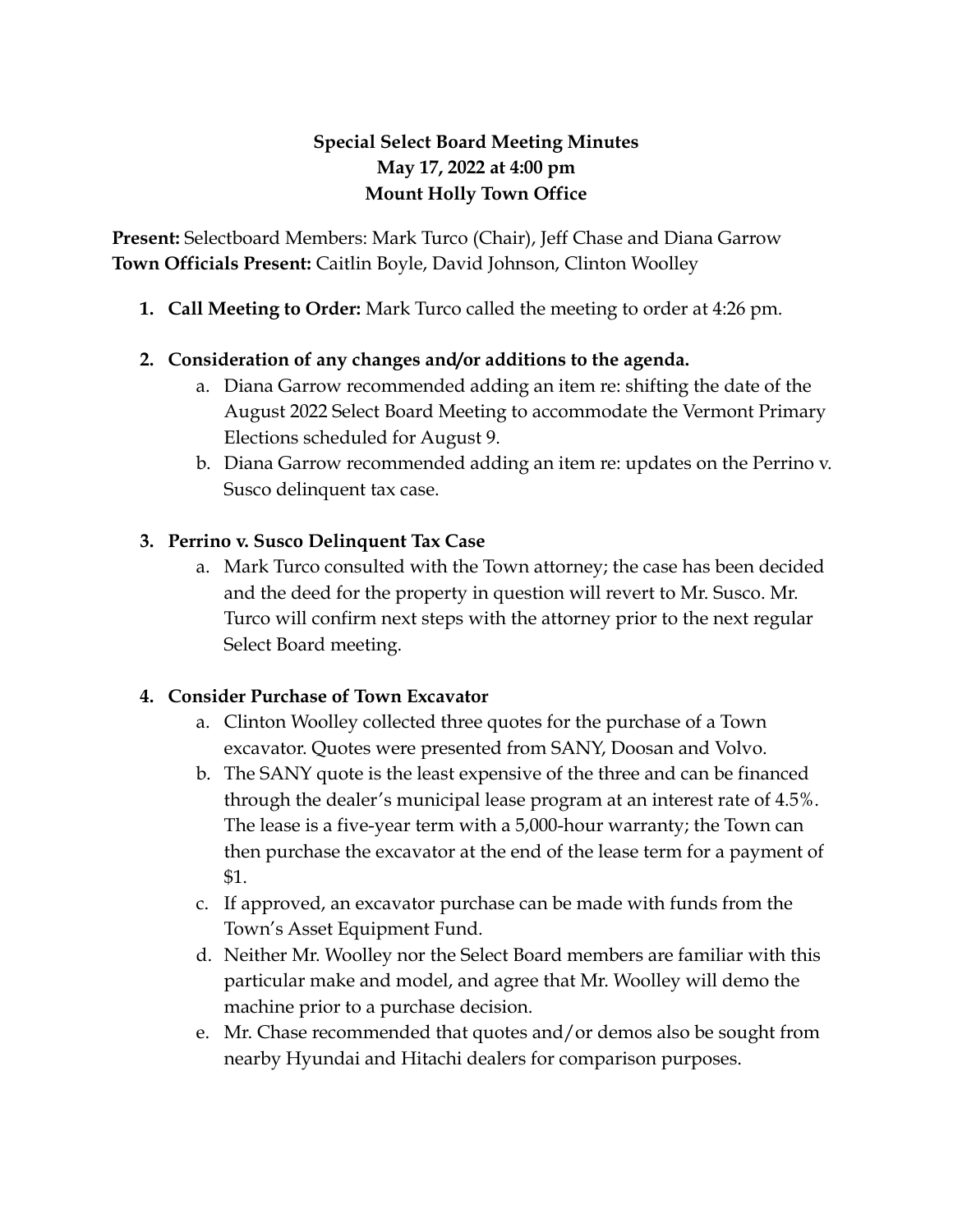# **Special Select Board Meeting Minutes May 17, 2022 at 4:00 pm Mount Holly Town Office**

**Present:** Selectboard Members: Mark Turco (Chair), Jeff Chase and Diana Garrow **Town Officials Present:** Caitlin Boyle, David Johnson, Clinton Woolley

**1. Call Meeting to Order:** Mark Turco called the meeting to order at 4:26 pm.

### **2. Consideration of any changes and/or additions to the agenda.**

- a. Diana Garrow recommended adding an item re: shifting the date of the August 2022 Select Board Meeting to accommodate the Vermont Primary Elections scheduled for August 9.
- b. Diana Garrow recommended adding an item re: updates on the Perrino v. Susco delinquent tax case.

### **3. Perrino v. Susco Delinquent Tax Case**

a. Mark Turco consulted with the Town attorney; the case has been decided and the deed for the property in question will revert to Mr. Susco. Mr. Turco will confirm next steps with the attorney prior to the next regular Select Board meeting.

## **4. Consider Purchase of Town Excavator**

- a. Clinton Woolley collected three quotes for the purchase of a Town excavator. Quotes were presented from SANY, Doosan and Volvo.
- b. The SANY quote is the least expensive of the three and can be financed through the dealer's municipal lease program at an interest rate of 4.5%. The lease is a five-year term with a 5,000-hour warranty; the Town can then purchase the excavator at the end of the lease term for a payment of \$1.
- c. If approved, an excavator purchase can be made with funds from the Town's Asset Equipment Fund.
- d. Neither Mr. Woolley nor the Select Board members are familiar with this particular make and model, and agree that Mr. Woolley will demo the machine prior to a purchase decision.
- e. Mr. Chase recommended that quotes and/or demos also be sought from nearby Hyundai and Hitachi dealers for comparison purposes.